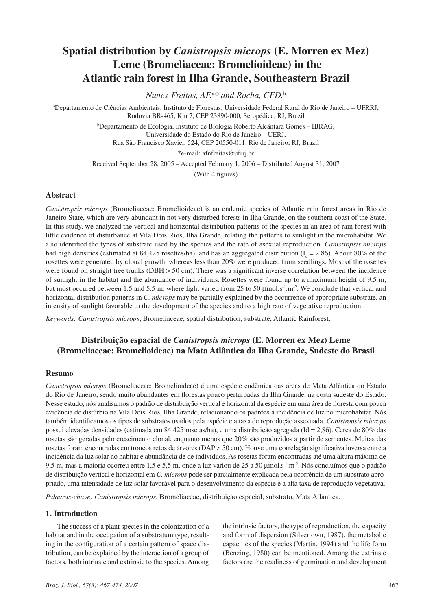# **Spatial distribution by** *Canistropsis microps* **(E. Morren ex Mez) Leme (Bromeliaceae: Bromelioideae) in the Atlantic rain forest in Ilha Grande, Southeastern Brazil**

*Nunes-Freitas, AF.*<sup>a</sup> *\* and Rocha, CFD.*<sup>b</sup>

a Departamento de Ciências Ambientais, Instituto de Florestas, Universidade Federal Rural do Rio de Janeiro – UFRRJ, Rodovia BR-465, Km 7, CEP 23890-000, Seropédica, RJ, Brazil

> b Departamento de Ecologia, Instituto de Biologia Roberto Alcântara Gomes – IBRAG, Universidade do Estado do Rio de Janeiro – UERJ, Rua São Francisco Xavier, 524, CEP 20550-011, Rio de Janeiro, RJ, Brazil

> > \*e-mail: afnfreitas@ufrrj.br

Received September 28, 2005 – Accepted February 1, 2006 – Distributed August 31, 2007

(With 4 figures)

## **Abstract**

*Canistropsis microps* (Bromeliaceae: Bromelioideae) is an endemic species of Atlantic rain forest areas in Rio de Janeiro State, which are very abundant in not very disturbed forests in Ilha Grande, on the southern coast of the State. In this study, we analyzed the vertical and horizontal distribution patterns of the species in an area of rain forest with little evidence of disturbance at Vila Dois Rios, Ilha Grande, relating the patterns to sunlight in the microhabitat. We also identified the types of substrate used by the species and the rate of asexual reproduction. *Canistropsis microps* had high densities (estimated at 84,425 rosettes/ha), and has an aggregated distribution  $(I_d = 2.86)$ . About 80% of the rosettes were generated by clonal growth, whereas less than 20% were produced from seedlings. Most of the rosettes were found on straight tree trunks (DBH > 50 cm). There was a significant inverse correlation between the incidence of sunlight in the habitat and the abundance of individuals. Rosettes were found up to a maximum height of 9.5 m, but most occured between 1.5 and 5.5 m, where light varied from 25 to 50  $\mu$ mol.s<sup>-1</sup>.m<sup>-2</sup>. We conclude that vertical and horizontal distribution patterns in *C. microps* may be partially explained by the occurrence of appropriate substrate, an intensity of sunlight favorable to the development of the species and to a high rate of vegetative reproduction.

*Keywords: Canistropsis microps*, Bromeliaceae, spatial distribution, substrate, Atlantic Rainforest.

# **Distribuição espacial de** *Canistropsis microps* **(E. Morren ex Mez) Leme (Bromeliaceae: Bromelioideae) na Mata Atlântica da Ilha Grande, Sudeste do Brasil**

## **Resumo**

*Canistropsis microps* (Bromeliaceae: Bromelioideae) é uma espécie endêmica das áreas de Mata Atlântica do Estado do Rio de Janeiro, sendo muito abundantes em florestas pouco perturbadas da Ilha Grande, na costa sudeste do Estado. Nesse estudo, nós analisamos o padrão de distribuição vertical e horizontal da espécie em uma área de floresta com pouca evidência de distúrbio na Vila Dois Rios, Ilha Grande, relacionando os padrões à incidência de luz no microhabitat. Nós também identificamos os tipos de substratos usados pela espécie e a taxa de reprodução assexuada. *Canistropsis microps*  possui elevadas densidades (estimada em 84.425 rosetas/ha), e uma distribuição agregada (Id = 2,86). Cerca de 80% das rosetas são geradas pelo crescimento clonal, enquanto menos que 20% são produzidos a partir de sementes. Muitas das rosetas foram encontradas em troncos retos de árvores (DAP > 50 cm). Houve uma correlação significativa inversa entre a incidência da luz solar no habitat e abundância de de indivíduos. As rosetas foram encontradas até uma altura máxima de 9,5 m, mas a maioria ocorreu entre 1,5 e 5,5 m, onde a luz variou de 25 a 50  $\mu$ mol.s<sup>-1</sup>.m<sup>-2</sup>. Nós concluímos que o padrão de distribuição vertical e horizontal em *C. microps* pode ser parcialmente explicada pela ocorrência de um substrato apropriado, uma intensidade de luz solar favorável para o desenvolvimento da espécie e a alta taxa de reprodução vegetativa.

*Palavras-chave: Canistropsis microps*, Bromeliaceae, distribuição espacial, substrato, Mata Atlântica.

#### **1. Introduction**

The success of a plant species in the colonization of a habitat and in the occupation of a substratum type, resulting in the configuration of a certain pattern of space distribution, can be explained by the interaction of a group of factors, both intrinsic and extrinsic to the species. Among

the intrinsic factors, the type of reproduction, the capacity and form of dispersion (Silvertown, 1987), the metabolic capacities of the species (Martin, 1994) and the life form (Benzing, 1980) can be mentioned. Among the extrinsic factors are the readiness of germination and development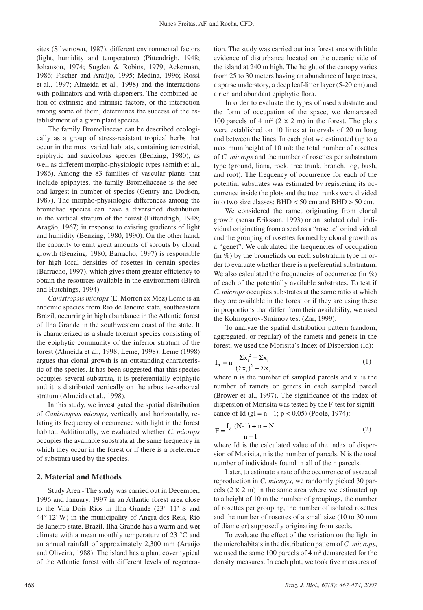sites (Silvertown, 1987), different environmental factors (light, humidity and temperature) (Pittendrigh, 1948; Johanson, 1974; Sugden & Robins, 1979; Ackerman, 1986; Fischer and Araújo, 1995; Medina, 1996; Rossi et al., 1997; Almeida et al., 1998) and the interactions with pollinators and with dispersers. The combined action of extrinsic and intrinsic factors, or the interaction among some of them, determines the success of the establishment of a given plant species.

The family Bromeliaceae can be described ecologically as a group of stress-resistant tropical herbs that occur in the most varied habitats, containing terrestrial, epiphytic and saxicolous species (Benzing, 1980), as well as different morpho-physiologic types (Smith et al., 1986). Among the 83 families of vascular plants that include epiphytes, the family Bromeliaceae is the second largest in number of species (Gentry and Dodson, 1987). The morpho-physiologic differences among the bromeliad species can have a diversified distribution in the vertical stratum of the forest (Pittendrigh, 1948; Aragão, 1967) in response to existing gradients of light and humidity (Benzing, 1980, 1990). On the other hand, the capacity to emit great amounts of sprouts by clonal growth (Benzing, 1980; Barracho, 1997) is responsible for high local densities of rosettes in certain species (Barracho, 1997), which gives them greater efficiency to obtain the resources available in the environment (Birch and Hutchings, 1994).

*Canistropsis microps* (E. Morren ex Mez) Leme is an endemic species from Rio de Janeiro state, southeastern Brazil, occurring in high abundance in the Atlantic forest of Ilha Grande in the southwestern coast of the state. It is characterized as a shade tolerant species consisting of the epiphytic community of the inferior stratum of the forest (Almeida et al., 1998; Leme, 1998). Leme (1998) argues that clonal growth is an outstanding characteristic of the species. It has been suggested that this species occupies several substrata, it is preferentially epiphytic and it is distributed vertically on the arbustive-arboreal stratum (Almeida et al., 1998).

In this study, we investigated the spatial distribution of *Canistropsis microps*, vertically and horizontally, relating its frequency of occurrence with light in the forest habitat. Additionally, we evaluated whether *C. microps* occupies the available substrata at the same frequency in which they occur in the forest or if there is a preference of substrata used by the species.

#### **2. Material and Methods**

Study Area - The study was carried out in December, 1996 and January, 1997 in an Atlantic forest area close to the Vila Dois Rios in Ilha Grande (23° 11' S and 44*°* 12'W) in the municipality of Angra dos Reis, Rio de Janeiro state, Brazil. Ilha Grande has a warm and wet climate with a mean monthly temperature of 23 °C and an annual rainfall of approximately 2,300 mm (Araújo and Oliveira, 1988). The island has a plant cover typical of the Atlantic forest with different levels of regeneration. The study was carried out in a forest area with little evidence of disturbance located on the oceanic side of the island at 240 m high. The height of the canopy varies from 25 to 30 meters having an abundance of large trees, a sparse understory, a deep leaf-litter layer (5-20 cm) and a rich and abundant epiphytic flora.

In order to evaluate the types of used substrate and the form of occupation of the space, we demarcated 100 parcels of 4  $m^2$  (2  $\times$  2 m) in the forest. The plots were established on 10 lines at intervals of 20 m long and between the lines. In each plot we estimated (up to a maximum height of 10 m): the total number of rosettes of *C. microps* and the number of rosettes per substratum type (ground, liana, rock, tree trunk, branch, log, bush, and root). The frequency of occurrence for each of the potential substrates was estimated by registering its occurrence inside the plots and the tree trunks were divided into two size classes: BHD < 50 cm and BHD > 50 cm.

We considered the ramet originating from clonal growth (sensu Eriksson, 1993) or an isolated adult individual originating from a seed as a "rosette" or individual and the grouping of rosettes formed by clonal growth as a "genet". We calculated the frequencies of occupation  $(in \%)$  by the bromeliads on each substratum type in order to evaluate whether there is a preferential substratum. We also calculated the frequencies of occurrence (in  $\%$ ) of each of the potentially available substrates. To test if *C. microps* occupies substrates at the same ratio at which they are available in the forest or if they are using these in proportions that differ from their availability, we used the Kolmogorov-Smirnov test (Zar, 1999).

To analyze the spatial distribution pattern (random, aggregated, or regular) of the ramets and genets in the forest, we used the Morisita's Index of Dispersion (Id):

$$
I_{d} = n \frac{\sum x_{i}^{2} - \sum x_{i}}{(\sum x_{i})^{2} - \sum x_{i}}
$$
 (1)

where n is the number of sampled parcels and  $x_i$  is the number of ramets or genets in each sampled parcel (Brower et al., 1997). The significance of the index of dispersion of Morisita was tested by the F-test for significance of Id (gl =  $n - 1$ ;  $p < 0.05$ ) (Poole, 1974):

$$
F = \frac{I_d (N-1) + n - N}{n - 1}
$$
 (2)

where Id is the calculated value of the index of dispersion of Morisita, n is the number of parcels, N is the total number of individuals found in all of the n parcels.

Later, to estimate a rate of the occurrence of assexual reproduction in *C. microps*, we randomly picked 30 parcels (2 x 2 m) in the same area where we estimated up to a height of 10 m the number of groupings, the number of rosettes per grouping, the number of isolated rosettes and the number of rosettes of a small size (10 to 30 mm of diameter) supposedly originating from seeds.

To evaluate the effect of the variation on the light in the microhabitats in the distribution pattern of *C. microps*, we used the same 100 parcels of 4 m<sup>2</sup> demarcated for the density measures. In each plot, we took five measures of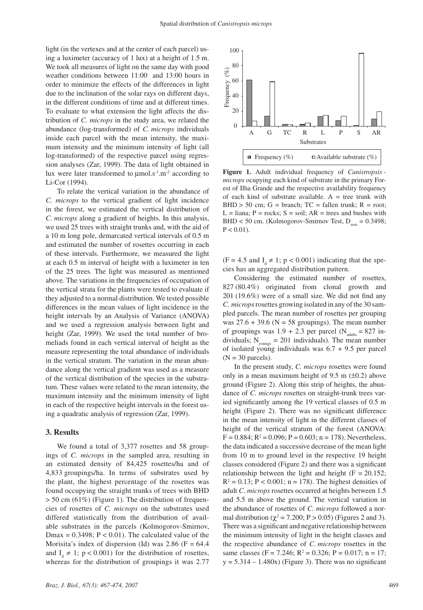light (in the vertexes and at the center of each parcel) using a luximeter (accuracy of 1 lux) at a height of 1.5 m. We took all measures of light on the same day with good weather conditions between 11:00 and 13:00 hours in order to minimize the effects of the differences in light due to the inclination of the solar rays on different days, in the different conditions of time and at different times. To evaluate to what extension the light affects the distribution of *C. microps* in the study area, we related the abundance (log-transformed) of *C. microps* individuals inside each parcel with the mean intensity, the maximum intensity and the minimum intensity of light (all log-transformed) of the respective parcel using regression analyses (Zar, 1999). The data of light obtained in lux were later transformed to  $\mu$ mol.s<sup>-1</sup>.m<sup>-2</sup> according to Li-Cor (1994).

To relate the vertical variation in the abundance of *C. microps* to the vertical gradient of light incidence in the forest, we estimated the vertical distribution of *C. microps* along a gradient of heights. In this analysis, we used 25 trees with straight trunks and, with the aid of a 10 m long pole, demarcated vertical intervals of 0.5 m and estimated the number of rosettes occurring in each of these intervals. Furthermore, we measured the light at each 0.5 m interval of height with a luximeter in ten of the 25 trees. The light was measured as mentioned above. The variations in the frequencies of occupation of the vertical strata for the plants were tested to evaluate if they adjusted to a normal distribution. We tested possible differences in the mean values of light incidence in the height intervals by an Analysis of Variance (ANOVA) and we used a regression analysis between light and height (Zar, 1999). We used the total number of bromeliads found in each vertical interval of height as the measure representing the total abundance of individuals in the vertical stratum. The variation in the mean abundance along the vertical gradient was used as a measure of the vertical distribution of the species in the substratum. These values were related to the mean intensity, the maximum intensity and the minimum intensity of light in each of the respective height intervals in the forest using a quadratic analysis of regression (Zar, 1999).

#### **3. Results**

We found a total of 3,377 rosettes and 58 groupings of *C. microps* in the sampled area, resulting in an estimated density of 84,425 rosettes/ha and of 4,833 groupings/ha. In terms of substrates used by the plant, the highest percentage of the rosettes was found occupying the straight trunks of trees with BHD  $> 50$  cm (61%) (Figure 1). The distribution of frequencies of rosettes of *C. microps* on the substrates used differed statistically from the distribution of available substrates in the parcels (Kolmogorov-Smirnov, Dmax =  $0.3498$ ; P <  $0.01$ ). The calculated value of the Morisita's index of dispersion (Id) was 2.86 ( $F = 64.4$ ) and  $I_d \neq 1$ ; p < 0.001) for the distribution of rosettes, whereas for the distribution of groupings it was 2.77



**Figure 1.** Adult individual frequency of *Canistropsis microps* ocupying each kind of substrate in the primary Forest of Ilha Grande and the respective availability frequency of each kind of substrate available.  $A =$  tree trunk with BHD > 50 cm;  $G =$  branch;  $TC =$  fallen trunk;  $R =$  root;  $L =$  liana;  $P =$  rocks;  $S =$  soil;  $AR =$  trees and bushes with  $BHD < 50$  cm. (Kolmogorov-Smirnov Test,  $D_m = 0.3498$ ;  $P < 0.01$ ).

(F = 4.5 and  $I_d \neq 1$ ; p < 0.001) indicating that the species has an aggregated distribution pattern.

Considering the estimated number of rosettes, 827 (80.4%) originated from clonal growth and 201 (19.6%) were of a small size. We did not find any *C. microps* rosettes growing isolated in any of the 30 sampled parcels. The mean number of rosettes per grouping was  $27.6 + 39.6$  (N = 58 groupings). The mean number of groupings was  $1.9 + 2.3$  per parcel (N<sub>adults</sub> = 827 individuals;  $N_{\text{voungs}} = 201$  individuals). The mean number of isolated young individuals was 6.7 + 9.5 per parcel  $(N = 30$  parcels).

In the present study, *C. microps* rosettes were found only in a mean maximum height of 9.5 m  $(\pm 0.2)$  above ground (Figure 2). Along this strip of heights, the abundance of *C. microps* rosettes on straight-trunk trees varied significantly among the 19 vertical classes of 0.5 m height (Figure 2). There was no significant difference in the mean intensity of light in the different classes of height of the vertical stratum of the forest (ANOVA:  $F = 0.884$ ;  $R^2 = 0.096$ ;  $P = 0.603$ ;  $n = 178$ ). Nevertheless, the data indicated a successive decrease of the mean light from 10 m to ground level in the respective 19 height classes considered (Figure 2) and there was a significant relationship between the light and height  $(F = 20.152)$ ;  $R^2 = 0.13$ ; P < 0.001; n = 178). The highest densities of adult *C. microps* rosettes occurred at heights between 1.5 and 5.5 m above the ground. The vertical variation in the abundance of rosettes of *C. microps* followed a normal distribution ( $\chi^2$  = 7.200; P > 0.05) (Figures 2 and 3). There was a significant and negative relationship between the minimum intensity of light in the height classes and the respective abundance of *C. microps* rosettes in the same classes (F = 7.246; R<sup>2</sup> = 0.326; P = 0.017; n = 17;  $y = 5.314 - 1.480x$ ) (Figure 3). There was no significant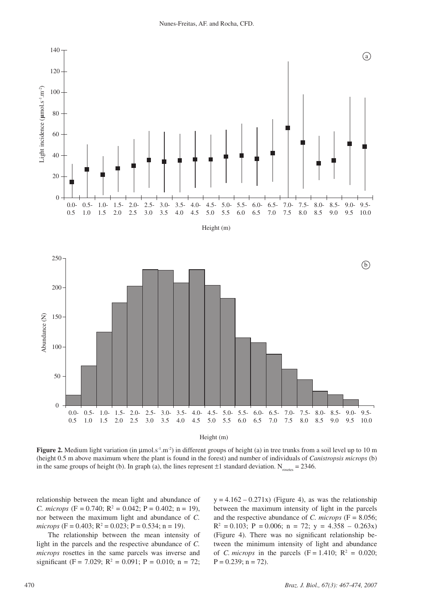

**Figure 2.** Medium light variation (in μmol.s<sup>-1</sup>.m<sup>-2</sup>) in different groups of height (a) in tree trunks from a soil level up to 10 m (height 0.5 m above maximum where the plant is found in the forest) and number of individuals of *Canistropsis microps* (b) in the same groups of height (b). In graph (a), the lines represent  $\pm 1$  standard deviation. N<sub>rosetes</sub> = 2346.

relationship between the mean light and abundance of *C. microps* ( $F = 0.740$ ;  $R^2 = 0.042$ ;  $P = 0.402$ ;  $n = 19$ ), nor between the maximum light and abundance of *C. microps* ( $F = 0.403$ ;  $R^2 = 0.023$ ;  $P = 0.534$ ;  $n = 19$ ).

The relationship between the mean intensity of light in the parcels and the respective abundance of *C. microps* rosettes in the same parcels was inverse and significant (F = 7.029; R<sup>2</sup> = 0.091; P = 0.010; n = 72;  $y = 4.162 - 0.271x$ ) (Figure 4), as was the relationship between the maximum intensity of light in the parcels and the respective abundance of *C. microps* (F = 8.056;  $R^2 = 0.103$ ; P = 0.006; n = 72; y = 4.358 - 0.263x) (Figure 4). There was no significant relationship between the minimum intensity of light and abundance of *C. microps* in the parcels  $(F = 1.410; R^2 = 0.020;$  $P = 0.239$ ;  $n = 72$ ).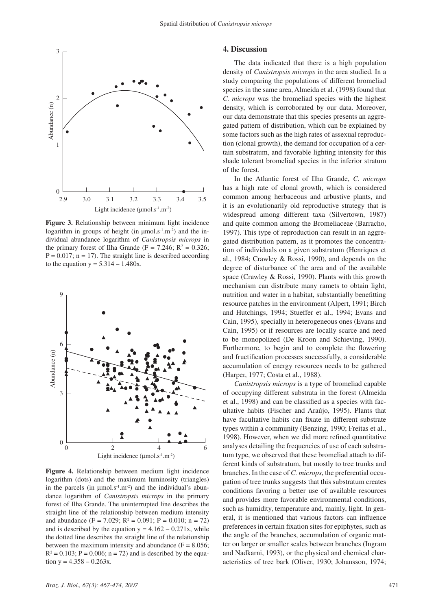

**Figure 3.** Relationship between minimum light incidence logarithm in groups of height (in  $\mu$ mol.s<sup>-1</sup>.m<sup>-2</sup>) and the individual abundance logarithm of *Canistropsis microps* in the primary forest of Ilha Grande ( $F = 7.246$ ;  $R^2 = 0.326$ ;  $P = 0.017$ ;  $n = 17$ ). The straight line is described according to the equation  $y = 5.314 - 1.480x$ .



**Figure 4.** Relationship between medium light incidence logarithm (dots) and the maximum luminosity (triangles) in the parcels (in  $\mu$ mol.s<sup>-1</sup>.m<sup>-2</sup>) and the individual's abundance logarithm of *Canistropsis microps* in the primary forest of Ilha Grande. The uninterrupted line describes the straight line of the relationship between medium intensity and abundance  $(F = 7.029; R^2 = 0.091; P = 0.010; n = 72)$ and is described by the equation  $y = 4.162 - 0.271x$ , while the dotted line describes the straight line of the relationship between the maximum intensity and abundance  $(F = 8.056)$ ;  $R^2 = 0.103$ ; P = 0.006; n = 72) and is described by the equation  $y = 4.358 - 0.263x$ .

#### **4. Discussion**

The data indicated that there is a high population density of *Canistropsis microps* in the area studied. In a study comparing the populations of different bromeliad species in the same area, Almeida et al. (1998) found that *C. microps* was the bromeliad species with the highest density, which is corroborated by our data. Moreover, our data demonstrate that this species presents an aggregated pattern of distribution, which can be explained by some factors such as the high rates of assexual reproduction (clonal growth), the demand for occupation of a certain substratum, and favorable lighting intensity for this shade tolerant bromeliad species in the inferior stratum of the forest.

In the Atlantic forest of Ilha Grande, *C. microps* has a high rate of clonal growth, which is considered common among herbaceous and arbustive plants, and it is an evolutionarily old reproductive strategy that is widespread among different taxa (Silvertown, 1987) and quite common among the Bromeliaceae (Barracho, 1997). This type of reproduction can result in an aggregated distribution pattern, as it promotes the concentration of individuals on a given substratum (Henriques et al., 1984; Crawley & Rossi, 1990), and depends on the degree of disturbance of the area and of the available space (Crawley & Rossi, 1990). Plants with this growth mechanism can distribute many ramets to obtain light, nutrition and water in a habitat, substantially benefitting resource patches in the environment (Alpert, 1991; Birch and Hutchings, 1994; Stueffer et al., 1994; Evans and Cain, 1995), specially in heterogeneous ones (Evans and Cain, 1995) or if resources are locally scarce and need to be monopolized (De Kroon and Schieving, 1990). Furthermore, to begin and to complete the flowering and fructification processes successfully, a considerable accumulation of energy resources needs to be gathered (Harper, 1977; Costa et al., 1988).

*Canistropsis microps* is a type of bromeliad capable of occupying different substrata in the forest (Almeida et al., 1998) and can be classified as a species with facultative habits (Fischer and Araújo, 1995). Plants that have facultative habits can fixate in different substrate types within a community (Benzing, 1990; Freitas et al., 1998). However, when we did more refined quantitative analyses detailing the frequencies of use of each substratum type, we observed that these bromeliad attach to different kinds of substratum, but mostly to tree trunks and branches. In the case of *C. microps*, the preferential occupation of tree trunks suggests that this substratum creates conditions favoring a better use of available resources and provides more favorable environmental conditions, such as humidity, temperature and, mainly, light. In general, it is mentioned that various factors can influence preferences in certain fixation sites for epiphytes, such as the angle of the branches, accumulation of organic matter on larger or smaller scales between branches (Ingram and Nadkarni, 1993), or the physical and chemical characteristics of tree bark (Oliver, 1930; Johansson, 1974;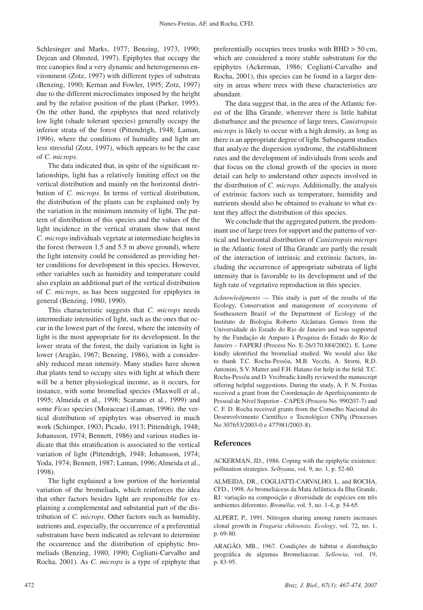Schlesinger and Marks, 1977; Benzing, 1973, 1990; Dejean and Olmsted, 1997). Epiphytes that occupy the tree canopies find a very dynamic and heterogeneous environment (Zotz, 1997) with different types of substrata (Benzing, 1990; Kernan and Fowler, 1995; Zotz, 1997) due to the different microclimates imposed by the height and by the relative position of the plant (Parker, 1995). On the other hand, the epiphytes that need relatively low light (shade tolerant species) generally occupy the inferior strata of the forest (Pittendrigh, 1948; Laman, 1996), where the conditions of humidity and light are less stressful (Zotz, 1997), which appears to be the case of *C. microps*.

The data indicated that, in spite of the significant relationships, light has a relatively limiting effect on the vertical distribution and mainly on the horizontal distribution of *C. microps*. In terms of vertical distribution, the distribution of the plants can be explained only by the variation in the minimum intensity of light. The pattern of distribution of this species and the values of the light incidence in the vertical stratum show that most *C. microps* individuals vegetate at intermediate heights in the forest (between 1.5 and 5.5 m above ground), where the light intensity could be considered as providing better conditions for development in this species. However, other variables such as humidity and temperature could also explain an additional part of the vertical distribution of *C. microps*, as has been suggested for epiphytes in general (Benzing, 1980, 1990).

This characteristic suggests that *C. microps* needs intermediate intensities of light, such as the ones that occur in the lowest part of the forest, where the intensity of light is the most appropriate for its development. In the lower strata of the forest, the daily variation in light is lower (Aragão, 1967; Benzing, 1986), with a considerably reduced mean intensity. Many studies have shown that plants tend to occupy sites with light at which there will be a better physiological income, as it occurs, for instance, with some bromeliad species (Maxwell et al., 1995; Almeida et al., 1998; Scarano et al., 1999) and some *Ficus* species (Moraceae) (Laman, 1996). the vertical distribution of epiphytes was observed in much work (Schimper, 1903; Picado, 1913; Pittendrigh, 1948; Johansson, 1974; Bennett, 1986) and various studies indicate that this stratification is associated to the vertical variation of light (Pittendrigh, 1948; Johansson, 1974; Yoda, 1974; Bennett, 1987; Laman, 1996; Almeida et al., 1998).

The light explained a low portion of the horizontal variation of the bromeliads, which reinforces the idea that other factors besides light are responsible for explaining a complemental and substantial part of the distribution of *C. microps*. Other factors such as humidity, nutrients and, especially, the occurrence of a preferential substratum have been indicated as relevant to determine the occurrence and the distribution of epiphytic bromeliads (Benzing, 1980, 1990; Cogliatti-Carvalho and Rocha, 2001). As *C. microps* is a type of epiphyte that preferentially occupies trees trunks with BHD > 50 cm, which are considered a more stable substratum for the epiphytes (Ackerman, 1986; Cogliatti-Carvalho and Rocha, 2001), this species can be found in a larger density in areas where trees with these characteristics are abundant.

The data suggest that, in the area of the Atlantic forest of the Ilha Grande, wherever there is little habitat disturbance and the presence of large trees, *Canistropsis microps* is likely to occur with a high density, as long as there is an appropriate degree of light. Subsequent studies that analyze the dispersion syndrome, the establishment rates and the development of individuals from seeds and that focus on the clonal growth of the species in more detail can help to understand other aspects involved in the distribution of *C. microps*. Additionally, the analysis of extrinsic factors such as temperature, humidity and nutrients should also be obtained to evaluate to what extent they affect the distribution of this species.

We conclude that the aggregated pattern, the predominant use of large trees for support and the patterns of vertical and horizontal distribution of *Canistropsis microps*  in the Atlantic forest of Ilha Grande are partly the result of the interaction of intrinsic and extrinsic factors, including the occurrence of appropriate substrata of light intensity that is favorable to its development and of the high rate of vegetative reproduction in this species.

*Acknowledgments* — This study is part of the results of the Ecology, Conservation and management of ecosystems of Southeastern Brazil of the Department of Ecology of the Instituto de Biologia Roberto Alcântara Gomes from the Universidade do Estado do Rio de Janeiro and was supported by the Fundação de Amparo à Pesquisa do Estado do Rio de Janeiro – FAPERJ (Process No. E-26/170.884/2002). E. Leme kindly identified the bromeliad studied. We would also like to thank T.C. Rocha-Pessôa, M.B. Vecchi, A. Storni, R.D. Antonini, S.V. Matter and F.H. Hatano for help in the field. T.C. Rocha-Pessôa and D. Vrcibradic kindly reviewed the manuscript offering helpful suggestions. During the study, A. F. N. Freitas received a grant from the Coordenação de Aperfeiçoamento de Pessoal de Nível Superior - CAPES (Process No. 990207-7) and C. F. D. Rocha received grants from the Conselho Nacional do Desenvolvimento Científico e Tecnológico CNPq (Processes No 307653/2003-0 e 477981/2003-8).

#### **References**

ACKERMAN, JD., 1986. Coping with the epiphytic existence: pollination strategies. *Selbyana*, vol. 9, no. 1, p. 52-60.

ALMEIDA, DR., COGLIATTI-CARVALHO, L. and ROCHA, CFD., 1998. As bromeliáceas da Mata Atlântica da Ilha Grande, RJ: variação na composição e diversidade de espécies em três ambientes diferentes. *Bromélia*, vol. 5, no. 1-4, p. 54-65.

ALPERT, P., 1991. Nitrogen sharing among ramets increases clonal growth in *Fragaria chiloensis. Ecology*, vol. 72, no. 1, p. 69-80.

ARAGÃO, MB., 1967. Condições de hábitat e distribuição geográfica de algumas Bromeliaceae. *Sellowia*, vol. 19, p. 83-95.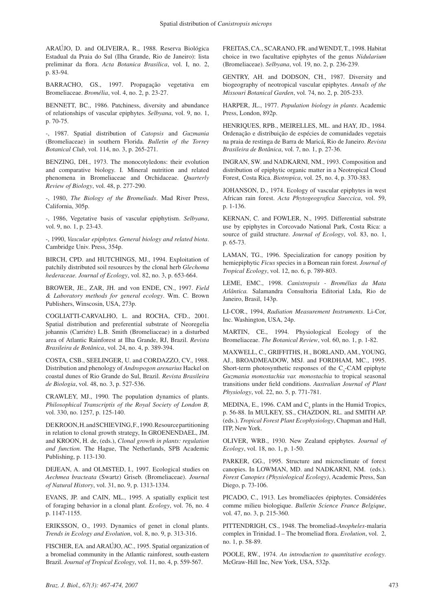ARAÚJO, D. and OLIVEIRA, R., 1988. Reserva Biológica Estadual da Praia do Sul (Ilha Grande, Rio de Janeiro): lista preliminar da flora. *Acta Botanica Brasilica*, vol. I, no. 2, p. 83-94.

BARRACHO, GS., 1997. Propagação vegetativa em Bromeliaceae. *Bromélia*, vol. 4, no. 2, p. 23-27.

BENNETT, BC., 1986. Patchiness, diversity and abundance of relationships of vascular epiphytes. *Selbyana*, vol. 9, no. 1, p. 70-75.

-, 1987. Spatial distribution of *Catopsis* and *Guzmania*  (Bromeliaceae) in southern Florida. *Bulletin of the Torrey Botanical Club*, vol. 114, no. 3, p. 265-271.

BENZING, DH., 1973. The monocotyledons: their evolution and comparative biology. I. Mineral nutrition and related phenomena in Bromeliaceae and Orchidaceae. *Quarterly Review of Biology*, vol. 48, p. 277-290.

-, 1980, *The Biology of the Bromeliads*. Mad River Press, California, 305p.

-, 1986, Vegetative basis of vascular epiphytism. *Selbyana*, vol. 9, no. 1, p. 23-43.

-, 1990, *Vascular epiphytes. General biology and related biota*. Cambridge Univ. Press, 354p.

BIRCH, CPD. and HUTCHINGS, MJ., 1994. Exploitation of patchily distributed soil resources by the clonal herb *Glechoma hederaceae. Journal of Ecology*, vol. 82, no. 3, p. 653-664.

BROWER, JE., ZAR, JH. and von ENDE, CN., 1997. *Field & Laboratory methods for general ecology*. Wm. C. Brown Publishers, Winscosin, USA, 273p.

COGLIATTI-CARVALHO, L. and ROCHA, CFD., 2001. Spatial distribution and preferential substrate of Neoregelia johannis (Carriére) L.B. Smith (Bromeliaceae) in a disturbed area of Atlantic Rainforest at Ilha Grande, RJ, Brazil. *Revista Brasileira de Botânica*, vol. 24, no. 4, p. 389-394.

COSTA, CSB., SEELINGER, U. and CORDAZZO, CV., 1988. Distribution and phenology of *Andropogon arenarius* Hackel on coastal dunes of Rio Grande do Sul, Brazil. *Revista Brasileira de Biologia*, vol. 48, no. 3, p. 527-536.

CRAWLEY, MJ., 1990. The population dynamics of plants. *Philosophical Transcriptis of the Royal Society of London B,*  vol. 330, no. 1257, p. 125-140.

DE KROON, H. and SCHIEVING, F., 1990. Resource partitioning in relation to clonal growth strategy, In GROENENDAEL, JM. and KROON, H. de, (eds.), *Clonal growth in plants: regulation and function.* The Hague, The Netherlands, SPB Academic Publishing, p. 113-130.

DEJEAN, A. and OLMSTED, I., 1997. Ecological studies on *Aechmea bracteata* (Swartz) Griseb. (Bromeliaceae). *Journal of Natural History*, vol. 31, no. 9, p. 1313-1334.

EVANS, JP. and CAIN, ML., 1995. A spatially explicit test of foraging behavior in a clonal plant. *Ecology*, vol. 76, no. 4 p. 1147-1155.

ERIKSSON, O., 1993. Dynamics of genet in clonal plants. *Trends in Ecology and Evolution*, vol. 8, no. 9, p. 313-316.

FISCHER, EA. and ARAÚJO, AC., 1995. Spatial organization of a bromeliad community in the Atlantic rainforest, south-eastern Brazil. *Journal of Tropical Ecology*, vol. 11, no. 4, p. 559-567.

FREITAS, CA., SCARANO, FR. and WENDT, T., 1998. Habitat choice in two facultative epiphytes of the genus *Nidularium* (Bromeliaceae). *Selbyana*, vol. 19, no. 2, p. 236-239.

GENTRY, AH. and DODSON, CH., 1987. Diversity and biogeography of neotropical vascular epiphytes. *Annals of the Missouri Botanical Garden*, vol. 74, no. 2, p. 205-233.

HARPER, JL., 1977. *Population biology in plants*. Academic Press, London, 892p.

HENRIQUES, RPB., MEIRELLES, ML. and HAY, JD., 1984. Ordenação e distribuição de espécies de comunidades vegetais na praia de restinga de Barra de Maricá, Rio de Janeiro. *Revista Brasileira de Botânica*, vol. 7, no. 1, p. 27-36.

INGRAN, SW. and NADKARNI, NM., 1993. Composition and distribution of epiphytic organic matter in a Neotropical Cloud Forest, Costa Rica. *Biotropica*, vol. 25, no. 4, p. 370-383.

JOHANSON, D., 1974. Ecology of vascular epiphytes in west African rain forest. *Acta Phytogeografica Sueccica*, vol. 59, p. 1-136.

KERNAN, C. and FOWLER, N., 1995. Differential substrate use by epiphytes in Corcovado National Park, Costa Rica: a source of guild structure. *Journal of Ecology*, vol. 83, no. 1, p. 65-73.

LAMAN, TG., 1996. Specialization for canopy position by hemiepiphytic *Ficus* species in a Bornean rain forest. *Journal of Tropical Ecology*, vol. 12, no. 6, p. 789-803.

LEME, EMC., 1998. *Canistropsis - Bromélias da Mata Atlântica.* Salamandra Consultoria Editorial Ltda, Rio de Janeiro, Brasil, 143p.

LI-COR., 1994, *Radiation Measurement Instruments*. Li-Cor, Inc. Washington, USA, 24p.

MARTIN, CE., 1994. Physiological Ecology of the Bromeliaceae. *The Botanical Review*, vol. 60, no. 1, p. 1-82.

MAXWELL, C., GRIFFITHS, H., BORLAND, AM., YOUNG, AJ., BROADMEADOW, MSJ. and FORDHAM, MC., 1995. Short-term photosynthetic responses of the  $C_3$ -CAM epiphyte *Guzmania monostachia var. monostachia* to tropical seasonal transitions under field conditions. *Australian Journal of Plant Physiology*, vol. 22, no. 5, p. 771-781.

MEDINA, E., 1996. CAM and  $C_4$  plants in the Humid Tropics, p. 56-88. In MULKEY, SS., CHAZDON, RL. and SMITH AP. (eds.). *Tropical Forest Plant Ecophysiology*, Chapman and Hall, ITP, New York.

OLIVER, WRB., 1930. New Zealand epiphytes. *Journal of Ecology*, vol. 18, no. 1, p. 1-50.

PARKER, GG., 1995. Structure and microclimate of forest canopies. In LOWMAN, MD. and NADKARNI, NM. (eds.). *Forest Canopies (Physiological Ecology)*, Academic Press, San Diego, p. 73-106.

PICADO, C., 1913. Les broméliacées épiphytes. Considérées comme milieu biologique. *Bulletin Science France Belgique*, vol. 47, no. 3, p. 215-360.

PITTENDRIGH, CS., 1948. The bromeliad-*Anopheles*-malaria complex in Trinidad. I – The bromeliad flora. *Evolution*, vol. 2, no. 1, p. 58-89.

POOLE, RW., 1974. *An introduction to quantitative ecology*. McGraw-Hill Inc, New York, USA, 532p.